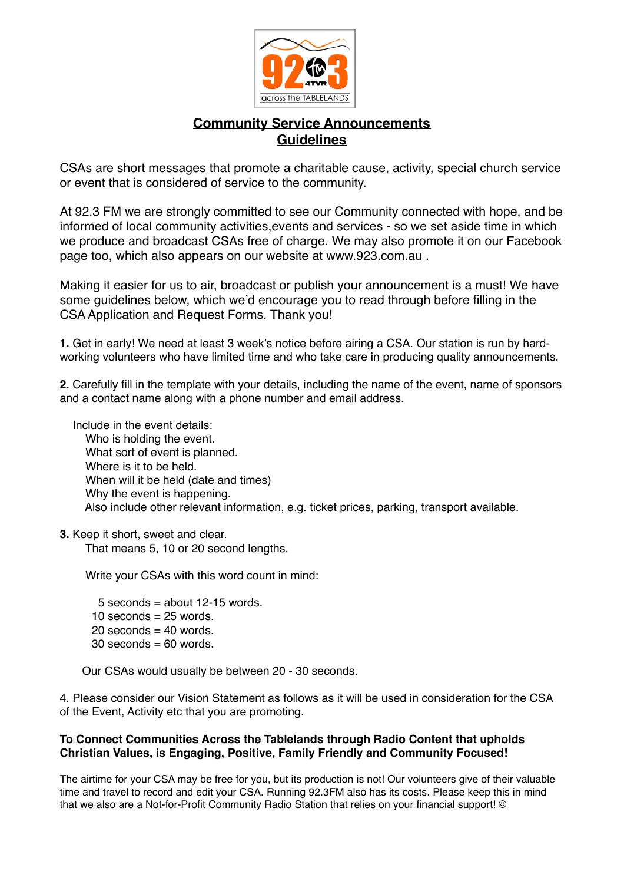

## **Community Service Announcements Guidelines**

CSAs are short messages that promote a charitable cause, activity, special church service or event that is considered of service to the community.

At 92.3 FM we are strongly committed to see our Community connected with hope, and be informed of local community activities,events and services - so we set aside time in which we produce and broadcast CSAs free of charge. We may also promote it on our Facebook page too, which also appears on our website at www.923.com.au .

Making it easier for us to air, broadcast or publish your announcement is a must! We have some guidelines below, which we'd encourage you to read through before filling in the CSA Application and Request Forms. Thank you!

**1.** Get in early! We need at least 3 week's notice before airing a CSA. Our station is run by hardworking volunteers who have limited time and who take care in producing quality announcements.

**2.** Carefully fill in the template with your details, including the name of the event, name of sponsors and a contact name along with a phone number and email address.

Include in the event details:

 Who is holding the event. What sort of event is planned. Where is it to be held. When will it be held (date and times) Why the event is happening. Also include other relevant information, e.g. ticket prices, parking, transport available.

## **3.** Keep it short, sweet and clear.

That means 5, 10 or 20 second lengths.

Write your CSAs with this word count in mind:

 seconds = about 12-15 words. 10 seconds  $= 25$  words. seconds = 40 words. seconds = 60 words.

Our CSAs would usually be between 20 - 30 seconds.

4. Please consider our Vision Statement as follows as it will be used in consideration for the CSA of the Event, Activity etc that you are promoting.

## **To Connect Communities Across the Tablelands through Radio Content that upholds Christian Values, is Engaging, Positive, Family Friendly and Community Focused!**

The airtime for your CSA may be free for you, but its production is not! Our volunteers give of their valuable time and travel to record and edit your CSA. Running 92.3FM also has its costs. Please keep this in mind that we also are a Not-for-Profit Community Radio Station that relies on your financial support! ©